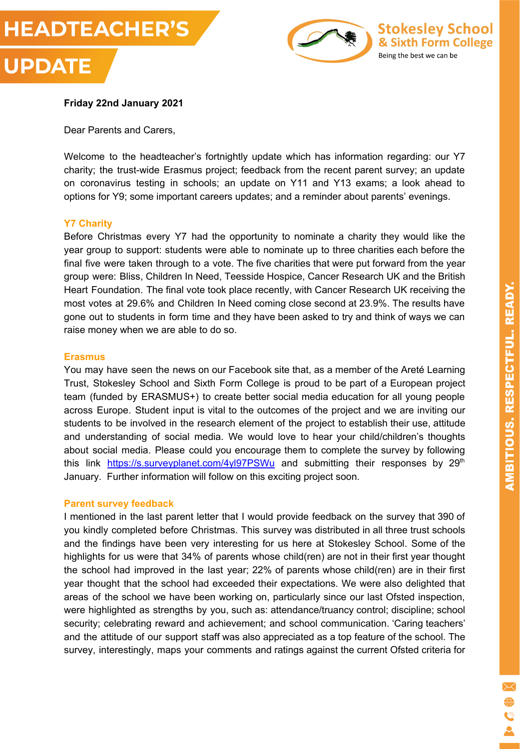



#### **Friday 22nd January 2021**

Dear Parents and Carers,

Welcome to the headteacher's fortnightly update which has information regarding: our Y7 charity; the trust-wide Erasmus project; feedback from the recent parent survey; an update on coronavirus testing in schools; an update on Y11 and Y13 exams; a look ahead to options for Y9; some important careers updates; and a reminder about parents' evenings.

#### **Y7 Charity**

Before Christmas every Y7 had the opportunity to nominate a charity they would like the year group to support: students were able to nominate up to three charities each before the final five were taken through to a vote. The five charities that were put forward from the year group were: Bliss, Children In Need, Teesside Hospice, Cancer Research UK and the British Heart Foundation. The final vote took place recently, with Cancer Research UK receiving the most votes at 29.6% and Children In Need coming close second at 23.9%. The results have gone out to students in form time and they have been asked to try and think of ways we can raise money when we are able to do so.

#### **Erasmus**

You may have seen the news on our Facebook site that, as a member of the Areté Learning Trust, Stokesley School and Sixth Form College is proud to be part of a European project team (funded by ERASMUS+) to create better social media education for all young people across Europe. Student input is vital to the outcomes of the project and we are inviting our students to be involved in the research element of the project to establish their use, attitude and understanding of social media. We would love to hear your child/children's thoughts about social media. Please could you encourage them to complete the survey by following this link <https://s.surveyplanet.com/4yl97PSWu> and submitting their responses by 29<sup>th</sup> January. Further information will follow on this exciting project soon.

#### **Parent survey feedback**

I mentioned in the last parent letter that I would provide feedback on the survey that 390 of you kindly completed before Christmas. This survey was distributed in all three trust schools and the findings have been very interesting for us here at Stokesley School. Some of the highlights for us were that 34% of parents whose child(ren) are not in their first year thought the school had improved in the last year; 22% of parents whose child(ren) are in their first year thought that the school had exceeded their expectations. We were also delighted that areas of the school we have been working on, particularly since our last Ofsted inspection, were highlighted as strengths by you, such as: attendance/truancy control; discipline; school security; celebrating reward and achievement; and school communication. 'Caring teachers' and the attitude of our support staff was also appreciated as a top feature of the school. The survey, interestingly, maps your comments and ratings against the current Ofsted criteria for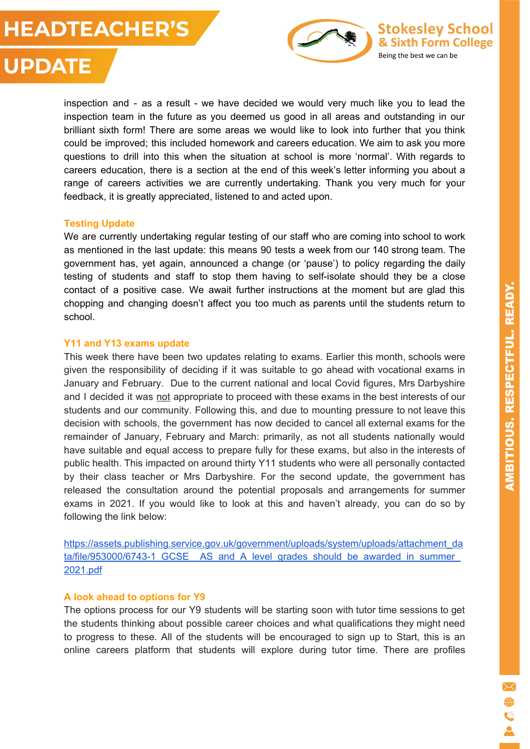### **HEADTEACHER'S**



# **UPDATE**

inspection and - as a result - we have decided we would very much like you to lead the inspection team in the future as you deemed us good in all areas and outstanding in our brilliant sixth form! There are some areas we would like to look into further that you think could be improved; this included homework and careers education. We aim to ask you more questions to drill into this when the situation at school is more 'normal'. With regards to careers education, there is a section at the end of this week's letter informing you about a range of careers activities we are currently undertaking. Thank you very much for your feedback, it is greatly appreciated, listened to and acted upon.

#### **Testing Update**

We are currently undertaking regular testing of our staff who are coming into school to work as mentioned in the last update: this means 90 tests a week from our 140 strong team. The government has, yet again, announced a change (or 'pause') to policy regarding the daily testing of students and staff to stop them having to self-isolate should they be a close contact of a positive case. We await further instructions at the moment but are glad this chopping and changing doesn't affect you too much as parents until the students return to school.

#### **Y11 and Y13 exams update**

This week there have been two updates relating to exams. Earlier this month, schools were given the responsibility of deciding if it was suitable to go ahead with vocational exams in January and February. Due to the current national and local Covid figures, Mrs Darbyshire and I decided it was not appropriate to proceed with these exams in the best interests of our students and our community. Following this, and due to mounting pressure to not leave this decision with schools, the government has now decided to cancel all external exams for the remainder of January, February and March: primarily, as not all students nationally would have suitable and equal access to prepare fully for these exams, but also in the interests of public health. This impacted on around thirty Y11 students who were all personally contacted by their class teacher or Mrs Darbyshire. For the second update, the government has released the consultation around the potential proposals and arrangements for summer exams in 2021. If you would like to look at this and haven't already, you can do so by following the link below:

[https://assets.publishing.service.gov.uk/government/uploads/system/uploads/attachment\\_da](https://assets.publishing.service.gov.uk/government/uploads/system/uploads/attachment_data/file/953000/6743-1_GCSE__AS_and_A_level_grades_should_be_awarded_in_summer_2021.pdf) ta/file/953000/6743-1\_GCSE\_AS\_and\_A\_level\_grades\_should\_be\_awarded\_in\_summer\_ [2021.pdf](https://assets.publishing.service.gov.uk/government/uploads/system/uploads/attachment_data/file/953000/6743-1_GCSE__AS_and_A_level_grades_should_be_awarded_in_summer_2021.pdf)

#### **A look ahead to options for Y9**

The options process for our Y9 students will be starting soon with tutor time sessions to get the students thinking about possible career choices and what qualifications they might need to progress to these. All of the students will be encouraged to sign up to Start, this is an online careers platform that students will explore during tutor time. There are profiles

ž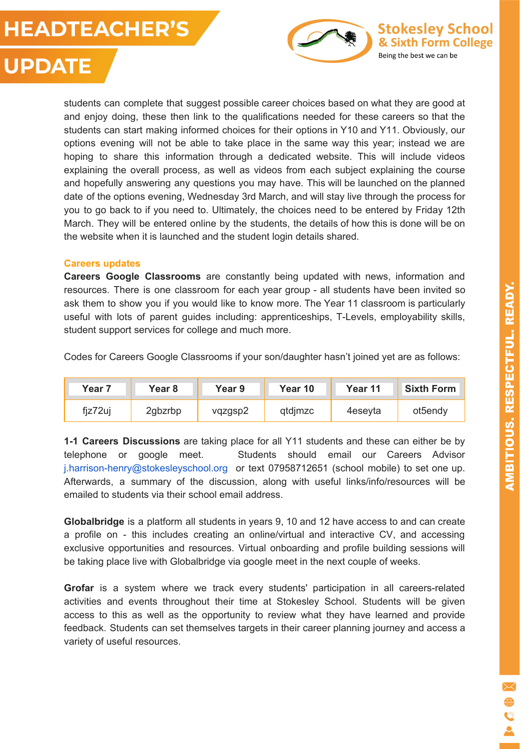### **HEADTEACHER'S**



# **UPDATE**

students can complete that suggest possible career choices based on what they are good at and enjoy doing, these then link to the qualifications needed for these careers so that the students can start making informed choices for their options in Y10 and Y11. Obviously, our options evening will not be able to take place in the same way this year; instead we are hoping to share this information through a dedicated website. This will include videos explaining the overall process, as well as videos from each subject explaining the course and hopefully answering any questions you may have. This will be launched on the planned date of the options evening, Wednesday 3rd March, and will stay live through the process for you to go back to if you need to. Ultimately, the choices need to be entered by Friday 12th March. They will be entered online by the students, the details of how this is done will be on the website when it is launched and the student login details shared.

#### **Careers updates**

**Careers Google Classrooms** are constantly being updated with news, information and resources. There is one classroom for each year group - all students have been invited so ask them to show you if you would like to know more. The Year 11 classroom is particularly useful with lots of parent guides including: apprenticeships, T-Levels, employability skills, student support services for college and much more.

Codes for Careers Google Classrooms if your son/daughter hasn't joined yet are as follows:

| Year 7  | Year 8  | Year 9  | Year 10 | Year 11 | <b>Sixth Form</b> |
|---------|---------|---------|---------|---------|-------------------|
| fiz72uj | 2gbzrbp | vqzgsp2 | qtdjmzc | 4eseyta | ot5endy           |

**1-1 Careers Discussions** are taking place for all Y11 students and these can either be by telephone or google meet. Students should email our Careers Advisor j.harrison-henry@stokesleyschool.org or text 07958712651 (school mobile) to set one up. Afterwards, a summary of the discussion, along with useful links/info/resources will be emailed to students via their school email address.

**Globalbridge** is a platform all students in years 9, 10 and 12 have access to and can create a profile on - this includes creating an online/virtual and interactive CV, and accessing exclusive opportunities and resources. Virtual onboarding and profile building sessions will be taking place live with Globalbridge via google meet in the next couple of weeks.

**Grofar** is a system where we track every students' participation in all careers-related activities and events throughout their time at Stokesley School. Students will be given access to this as well as the opportunity to review what they have learned and provide feedback. Students can set themselves targets in their career planning journey and access a variety of useful resources.